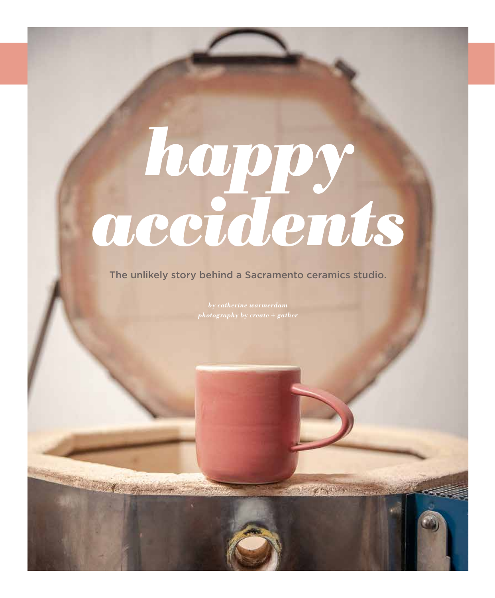## *happy accidents*

The unlikely story behind a Sacramento ceramics studio.

K William Hopkin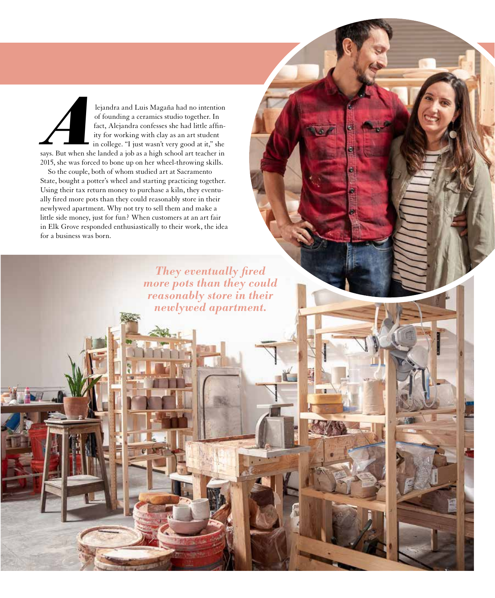lejandra and Luis Magaña had no intention of founding a ceramics studio together. In fact, Alejandra confesses she had little affinity for working with clay as an art student in college. "I just wasn't very good at it," she lejandra and Luis Magaña had no intention<br>of founding a ceramics studio together. In<br>fact, Alejandra confesses she had little affin-<br>ity for working with clay as an art student<br>in college. "I just wasn't very good at it,"

2015, she was forced to bone up on her wheel-throwing skills. So the couple, both of whom studied art at Sacramento

State, bought a potter's wheel and starting practicing together. Using their tax return money to purchase a kiln, they eventually fired more pots than they could reasonably store in their newlywed apartment. Why not try to sell them and make a little side money, just for fun? When customers at an art fair in Elk Grove responded enthusiastically to their work, the idea for a business was born.

> *They eventually fired more pots than they could reasonably store in their newlywed apartment.*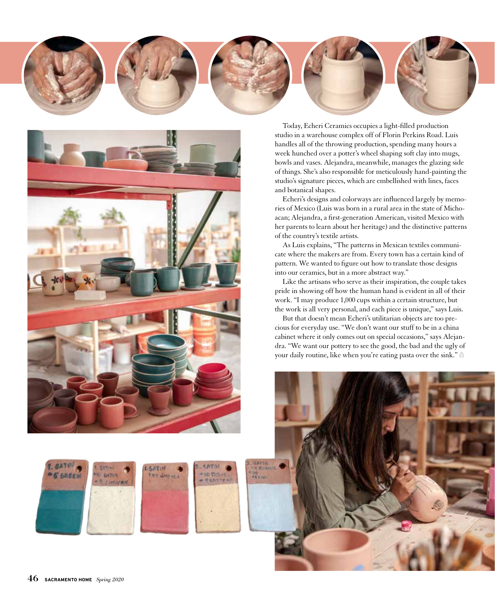



**SATIN** 

Mr. deep re-

**ID DOS** 

**HANYY** 

Today, Echeri Ceramics occupies a light-filled production studio in a warehouse complex off of Florin Perkins Road. Luis handles all of the throwing production, spending many hours a week hunched over a potter's wheel shaping soft clay into mugs, bowls and vases. Alejandra, meanwhile, manages the glazing side of things. She's also responsible for meticulously hand-painting the studio's signature pieces, which are embellished with lines, faces and botanical shapes.

Echeri's designs and colorways are influenced largely by memories of Mexico (Luis was born in a rural area in the state of Michoacan; Alejandra, a first-generation American, visited Mexico with her parents to learn about her heritage) and the distinctive patterns of the country's textile artists.

As Luis explains, "The patterns in Mexican textiles communicate where the makers are from. Every town has a certain kind of pattern. We wanted to figure out how to translate those designs into our ceramics, but in a more abstract way."

Like the artisans who serve as their inspiration, the couple takes pride in showing off how the human hand is evident in all of their work. "I may produce 1,000 cups within a certain structure, but the work is all very personal, and each piece is unique," says Luis.

But that doesn't mean Echeri's utilitarian objects are too precious for everyday use. "We don't want our stuff to be in a china cabinet where it only comes out on special occasions," says Alejandra. "We want our pottery to see the good, the bad and the ugly of your daily routine, like when you're eating pasta over the sink."



**S EASEN** 

**W** Gelline